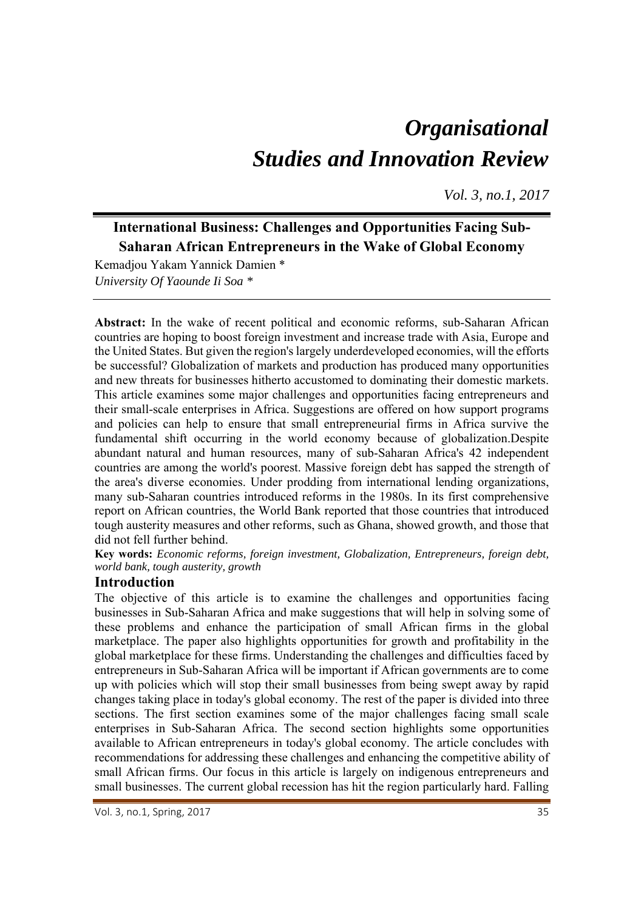# *Organisational Studies and Innovation Review*

*Vol. 3, no.1, 2017*

# **International Business: Challenges and Opportunities Facing Sub-Saharan African Entrepreneurs in the Wake of Global Economy**

Kemadjou Yakam Yannick Damien \* *University Of Yaounde Ii Soa \** 

**Abstract:** In the wake of recent political and economic reforms, sub-Saharan African countries are hoping to boost foreign investment and increase trade with Asia, Europe and the United States. But given the region's largely underdeveloped economies, will the efforts be successful? Globalization of markets and production has produced many opportunities and new threats for businesses hitherto accustomed to dominating their domestic markets. This article examines some major challenges and opportunities facing entrepreneurs and their small-scale enterprises in Africa. Suggestions are offered on how support programs and policies can help to ensure that small entrepreneurial firms in Africa survive the fundamental shift occurring in the world economy because of globalization.Despite abundant natural and human resources, many of sub-Saharan Africa's 42 independent countries are among the world's poorest. Massive foreign debt has sapped the strength of the area's diverse economies. Under prodding from international lending organizations, many sub-Saharan countries introduced reforms in the 1980s. In its first comprehensive report on African countries, the World Bank reported that those countries that introduced tough austerity measures and other reforms, such as Ghana, showed growth, and those that did not fell further behind.

**Key words:** *Economic reforms, foreign investment, Globalization, Entrepreneurs, foreign debt, world bank, tough austerity, growth* 

# **Introduction**

The objective of this article is to examine the challenges and opportunities facing businesses in Sub-Saharan Africa and make suggestions that will help in solving some of these problems and enhance the participation of small African firms in the global marketplace. The paper also highlights opportunities for growth and profitability in the global marketplace for these firms. Understanding the challenges and difficulties faced by entrepreneurs in Sub-Saharan Africa will be important if African governments are to come up with policies which will stop their small businesses from being swept away by rapid changes taking place in today's global economy. The rest of the paper is divided into three sections. The first section examines some of the major challenges facing small scale enterprises in Sub-Saharan Africa. The second section highlights some opportunities available to African entrepreneurs in today's global economy. The article concludes with recommendations for addressing these challenges and enhancing the competitive ability of small African firms. Our focus in this article is largely on indigenous entrepreneurs and small businesses. The current global recession has hit the region particularly hard. Falling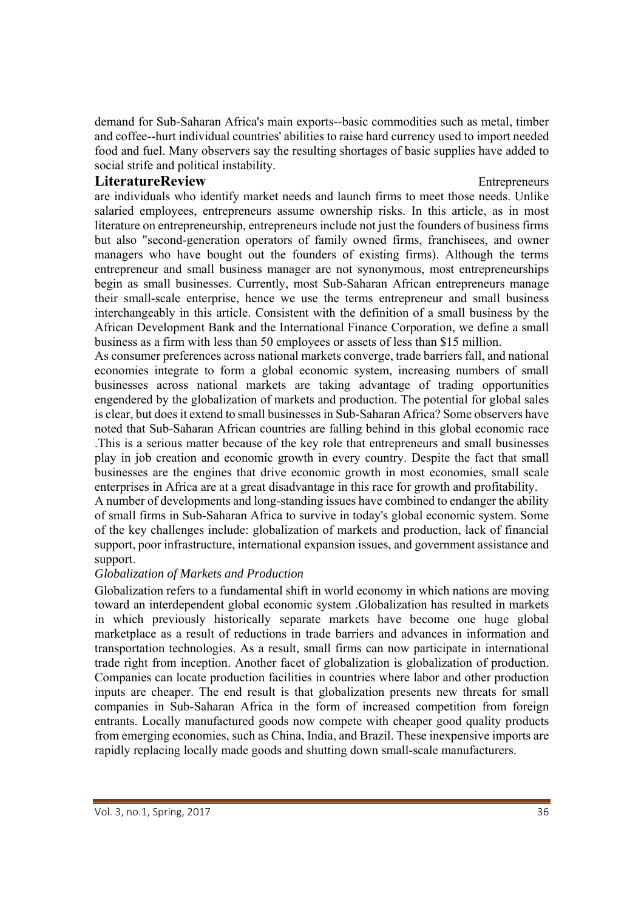demand for Sub-Saharan Africa's main exports--basic commodities such as metal, timber and coffee--hurt individual countries' abilities to raise hard currency used to import needed food and fuel. Many observers say the resulting shortages of basic supplies have added to social strife and political instability.

### **LiteratureReview Entrepreneurs Entrepreneurs**

are individuals who identify market needs and launch firms to meet those needs. Unlike salaried employees, entrepreneurs assume ownership risks. In this article, as in most literature on entrepreneurship, entrepreneurs include not just the founders of business firms but also "second-generation operators of family owned firms, franchisees, and owner managers who have bought out the founders of existing firms). Although the terms entrepreneur and small business manager are not synonymous, most entrepreneurships begin as small businesses. Currently, most Sub-Saharan African entrepreneurs manage their small-scale enterprise, hence we use the terms entrepreneur and small business interchangeably in this article. Consistent with the definition of a small business by the African Development Bank and the International Finance Corporation, we define a small business as a firm with less than 50 employees or assets of less than \$15 million.

As consumer preferences across national markets converge, trade barriers fall, and national economies integrate to form a global economic system, increasing numbers of small businesses across national markets are taking advantage of trading opportunities engendered by the globalization of markets and production. The potential for global sales is clear, but does it extend to small businesses in Sub-Saharan Africa? Some observers have noted that Sub-Saharan African countries are falling behind in this global economic race .This is a serious matter because of the key role that entrepreneurs and small businesses play in job creation and economic growth in every country. Despite the fact that small businesses are the engines that drive economic growth in most economies, small scale enterprises in Africa are at a great disadvantage in this race for growth and profitability.

A number of developments and long-standing issues have combined to endanger the ability of small firms in Sub-Saharan Africa to survive in today's global economic system. Some of the key challenges include: globalization of markets and production, lack of financial support, poor infrastructure, international expansion issues, and government assistance and support.

# *Globalization of Markets and Production*

Globalization refers to a fundamental shift in world economy in which nations are moving toward an interdependent global economic system .Globalization has resulted in markets in which previously historically separate markets have become one huge global marketplace as a result of reductions in trade barriers and advances in information and transportation technologies. As a result, small firms can now participate in international trade right from inception. Another facet of globalization is globalization of production. Companies can locate production facilities in countries where labor and other production inputs are cheaper. The end result is that globalization presents new threats for small companies in Sub-Saharan Africa in the form of increased competition from foreign entrants. Locally manufactured goods now compete with cheaper good quality products from emerging economies, such as China, India, and Brazil. These inexpensive imports are rapidly replacing locally made goods and shutting down small-scale manufacturers.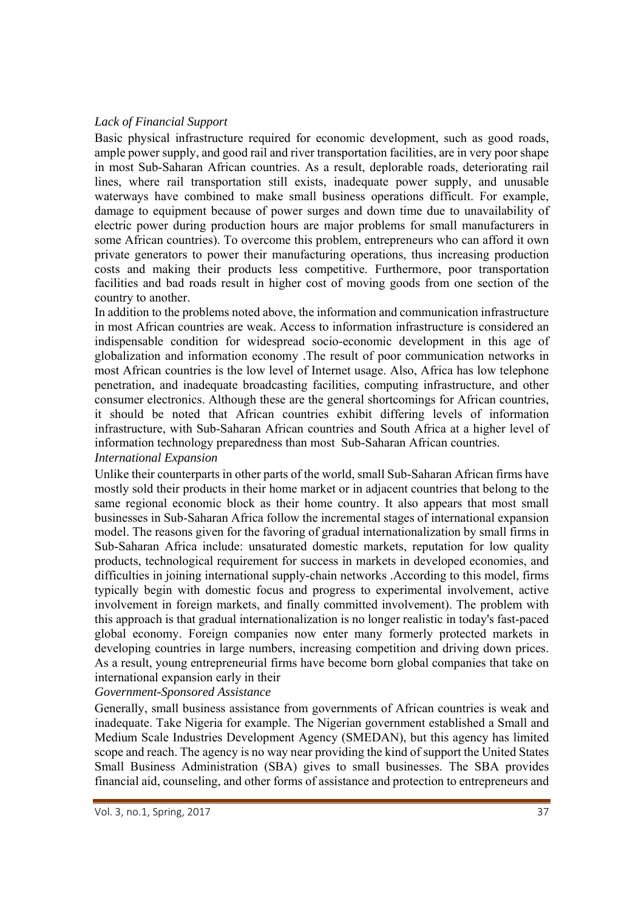#### *Lack of Financial Support*

Basic physical infrastructure required for economic development, such as good roads, ample power supply, and good rail and river transportation facilities, are in very poor shape in most Sub-Saharan African countries. As a result, deplorable roads, deteriorating rail lines, where rail transportation still exists, inadequate power supply, and unusable waterways have combined to make small business operations difficult. For example, damage to equipment because of power surges and down time due to unavailability of electric power during production hours are major problems for small manufacturers in some African countries). To overcome this problem, entrepreneurs who can afford it own private generators to power their manufacturing operations, thus increasing production costs and making their products less competitive. Furthermore, poor transportation facilities and bad roads result in higher cost of moving goods from one section of the country to another.

In addition to the problems noted above, the information and communication infrastructure in most African countries are weak. Access to information infrastructure is considered an indispensable condition for widespread socio-economic development in this age of globalization and information economy .The result of poor communication networks in most African countries is the low level of Internet usage. Also, Africa has low telephone penetration, and inadequate broadcasting facilities, computing infrastructure, and other consumer electronics. Although these are the general shortcomings for African countries, it should be noted that African countries exhibit differing levels of information infrastructure, with Sub-Saharan African countries and South Africa at a higher level of information technology preparedness than most Sub-Saharan African countries. *International Expansion* 

Unlike their counterparts in other parts of the world, small Sub-Saharan African firms have mostly sold their products in their home market or in adjacent countries that belong to the same regional economic block as their home country. It also appears that most small businesses in Sub-Saharan Africa follow the incremental stages of international expansion model. The reasons given for the favoring of gradual internationalization by small firms in Sub-Saharan Africa include: unsaturated domestic markets, reputation for low quality products, technological requirement for success in markets in developed economies, and difficulties in joining international supply-chain networks .According to this model, firms typically begin with domestic focus and progress to experimental involvement, active involvement in foreign markets, and finally committed involvement). The problem with this approach is that gradual internationalization is no longer realistic in today's fast-paced global economy. Foreign companies now enter many formerly protected markets in developing countries in large numbers, increasing competition and driving down prices. As a result, young entrepreneurial firms have become born global companies that take on international expansion early in their

*Government-Sponsored Assistance* 

Generally, small business assistance from governments of African countries is weak and inadequate. Take Nigeria for example. The Nigerian government established a Small and Medium Scale Industries Development Agency (SMEDAN), but this agency has limited scope and reach. The agency is no way near providing the kind of support the United States Small Business Administration (SBA) gives to small businesses. The SBA provides financial aid, counseling, and other forms of assistance and protection to entrepreneurs and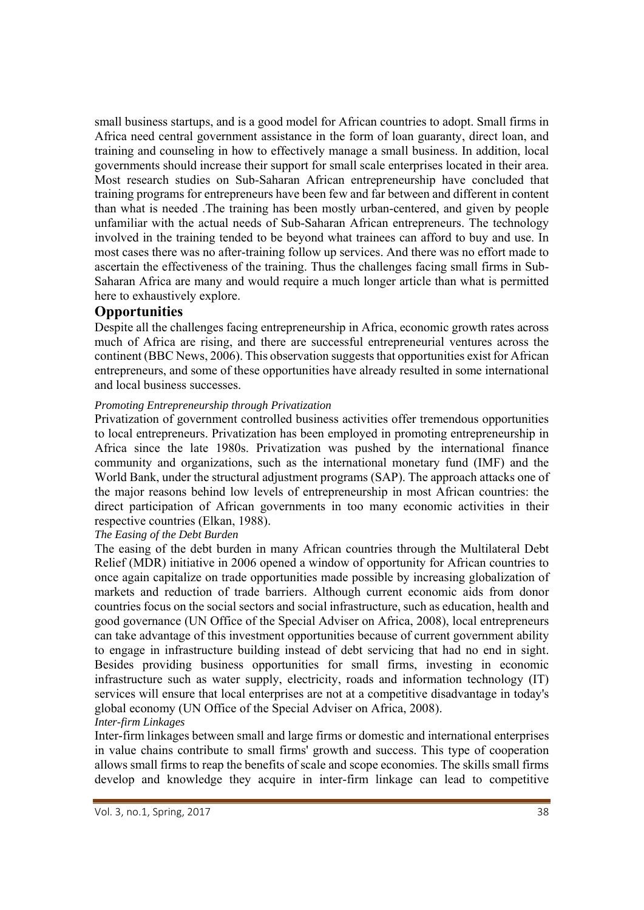small business startups, and is a good model for African countries to adopt. Small firms in Africa need central government assistance in the form of loan guaranty, direct loan, and training and counseling in how to effectively manage a small business. In addition, local governments should increase their support for small scale enterprises located in their area. Most research studies on Sub-Saharan African entrepreneurship have concluded that training programs for entrepreneurs have been few and far between and different in content than what is needed .The training has been mostly urban-centered, and given by people unfamiliar with the actual needs of Sub-Saharan African entrepreneurs. The technology involved in the training tended to be beyond what trainees can afford to buy and use. In most cases there was no after-training follow up services. And there was no effort made to ascertain the effectiveness of the training. Thus the challenges facing small firms in Sub-Saharan Africa are many and would require a much longer article than what is permitted here to exhaustively explore.

# **Opportunities**

Despite all the challenges facing entrepreneurship in Africa, economic growth rates across much of Africa are rising, and there are successful entrepreneurial ventures across the continent (BBC News, 2006). This observation suggests that opportunities exist for African entrepreneurs, and some of these opportunities have already resulted in some international and local business successes.

#### *Promoting Entrepreneurship through Privatization*

Privatization of government controlled business activities offer tremendous opportunities to local entrepreneurs. Privatization has been employed in promoting entrepreneurship in Africa since the late 1980s. Privatization was pushed by the international finance community and organizations, such as the international monetary fund (IMF) and the World Bank, under the structural adjustment programs (SAP). The approach attacks one of the major reasons behind low levels of entrepreneurship in most African countries: the direct participation of African governments in too many economic activities in their respective countries (Elkan, 1988).

#### *The Easing of the Debt Burden*

The easing of the debt burden in many African countries through the Multilateral Debt Relief (MDR) initiative in 2006 opened a window of opportunity for African countries to once again capitalize on trade opportunities made possible by increasing globalization of markets and reduction of trade barriers. Although current economic aids from donor countries focus on the social sectors and social infrastructure, such as education, health and good governance (UN Office of the Special Adviser on Africa, 2008), local entrepreneurs can take advantage of this investment opportunities because of current government ability to engage in infrastructure building instead of debt servicing that had no end in sight. Besides providing business opportunities for small firms, investing in economic infrastructure such as water supply, electricity, roads and information technology (IT) services will ensure that local enterprises are not at a competitive disadvantage in today's global economy (UN Office of the Special Adviser on Africa, 2008).

#### *Inter-firm Linkages*

Inter-firm linkages between small and large firms or domestic and international enterprises in value chains contribute to small firms' growth and success. This type of cooperation allows small firms to reap the benefits of scale and scope economies. The skills small firms develop and knowledge they acquire in inter-firm linkage can lead to competitive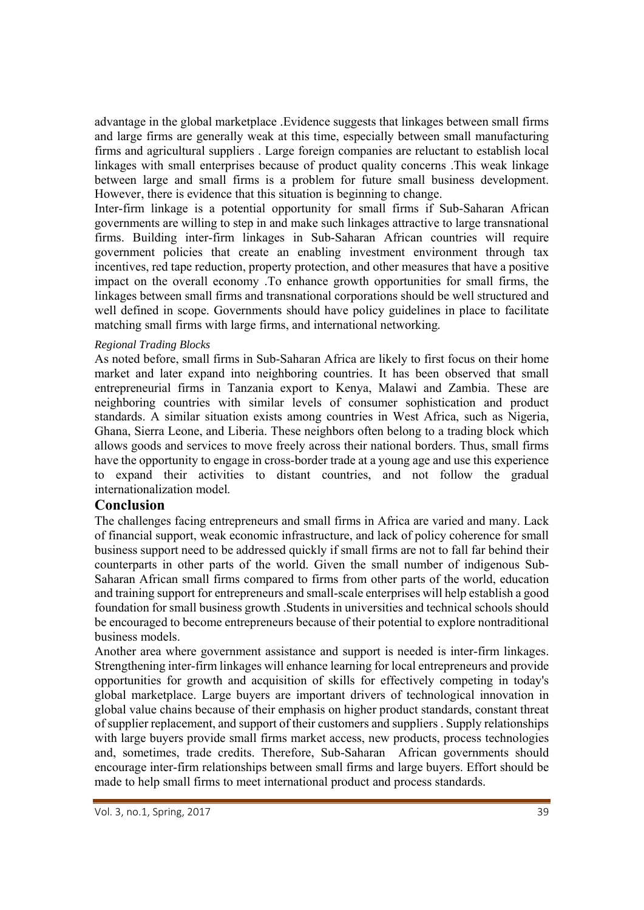advantage in the global marketplace .Evidence suggests that linkages between small firms and large firms are generally weak at this time, especially between small manufacturing firms and agricultural suppliers . Large foreign companies are reluctant to establish local linkages with small enterprises because of product quality concerns .This weak linkage between large and small firms is a problem for future small business development. However, there is evidence that this situation is beginning to change.

Inter-firm linkage is a potential opportunity for small firms if Sub-Saharan African governments are willing to step in and make such linkages attractive to large transnational firms. Building inter-firm linkages in Sub-Saharan African countries will require government policies that create an enabling investment environment through tax incentives, red tape reduction, property protection, and other measures that have a positive impact on the overall economy .To enhance growth opportunities for small firms, the linkages between small firms and transnational corporations should be well structured and well defined in scope. Governments should have policy guidelines in place to facilitate matching small firms with large firms, and international networking*.* 

#### *Regional Trading Blocks*

As noted before, small firms in Sub-Saharan Africa are likely to first focus on their home market and later expand into neighboring countries. It has been observed that small entrepreneurial firms in Tanzania export to Kenya, Malawi and Zambia. These are neighboring countries with similar levels of consumer sophistication and product standards. A similar situation exists among countries in West Africa, such as Nigeria, Ghana, Sierra Leone, and Liberia. These neighbors often belong to a trading block which allows goods and services to move freely across their national borders. Thus, small firms have the opportunity to engage in cross-border trade at a young age and use this experience to expand their activities to distant countries, and not follow the gradual internationalization model*.* 

#### **Conclusion**

The challenges facing entrepreneurs and small firms in Africa are varied and many. Lack of financial support, weak economic infrastructure, and lack of policy coherence for small business support need to be addressed quickly if small firms are not to fall far behind their counterparts in other parts of the world. Given the small number of indigenous Sub-Saharan African small firms compared to firms from other parts of the world, education and training support for entrepreneurs and small-scale enterprises will help establish a good foundation for small business growth .Students in universities and technical schools should be encouraged to become entrepreneurs because of their potential to explore nontraditional business models.

Another area where government assistance and support is needed is inter-firm linkages. Strengthening inter-firm linkages will enhance learning for local entrepreneurs and provide opportunities for growth and acquisition of skills for effectively competing in today's global marketplace. Large buyers are important drivers of technological innovation in global value chains because of their emphasis on higher product standards, constant threat of supplier replacement, and support of their customers and suppliers . Supply relationships with large buyers provide small firms market access, new products, process technologies and, sometimes, trade credits. Therefore, Sub-Saharan African governments should encourage inter-firm relationships between small firms and large buyers. Effort should be made to help small firms to meet international product and process standards.